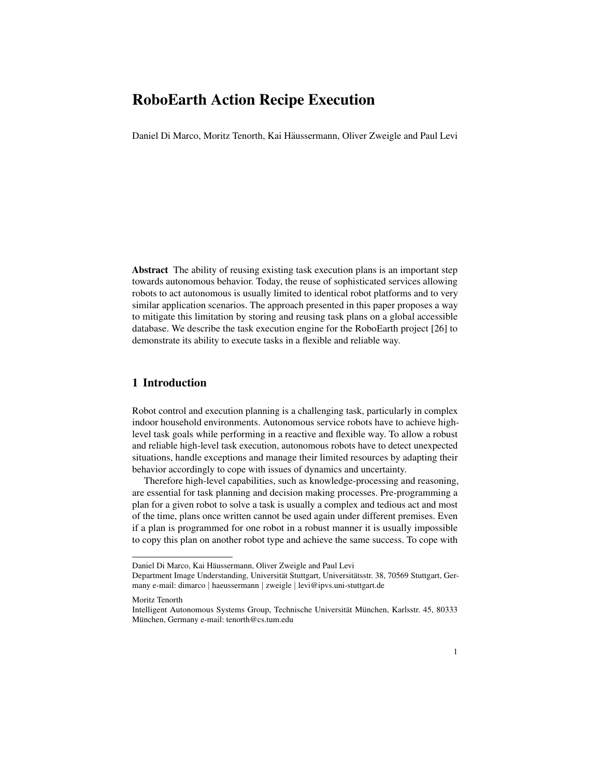# RoboEarth Action Recipe Execution

Daniel Di Marco, Moritz Tenorth, Kai Haussermann, Oliver Zweigle and Paul Levi ¨

Abstract The ability of reusing existing task execution plans is an important step towards autonomous behavior. Today, the reuse of sophisticated services allowing robots to act autonomous is usually limited to identical robot platforms and to very similar application scenarios. The approach presented in this paper proposes a way to mitigate this limitation by storing and reusing task plans on a global accessible database. We describe the task execution engine for the RoboEarth project [26] to demonstrate its ability to execute tasks in a flexible and reliable way.

# 1 Introduction

Robot control and execution planning is a challenging task, particularly in complex indoor household environments. Autonomous service robots have to achieve highlevel task goals while performing in a reactive and flexible way. To allow a robust and reliable high-level task execution, autonomous robots have to detect unexpected situations, handle exceptions and manage their limited resources by adapting their behavior accordingly to cope with issues of dynamics and uncertainty.

Therefore high-level capabilities, such as knowledge-processing and reasoning, are essential for task planning and decision making processes. Pre-programming a plan for a given robot to solve a task is usually a complex and tedious act and most of the time, plans once written cannot be used again under different premises. Even if a plan is programmed for one robot in a robust manner it is usually impossible to copy this plan on another robot type and achieve the same success. To cope with

Daniel Di Marco, Kai Häussermann, Oliver Zweigle and Paul Levi

Department Image Understanding, Universität Stuttgart, Universitätsstr. 38, 70569 Stuttgart, Germany e-mail: dimarco | haeussermann | zweigle | levi@ipvs.uni-stuttgart.de

Moritz Tenorth

Intelligent Autonomous Systems Group, Technische Universität München, Karlsstr. 45, 80333 München, Germany e-mail: tenorth@cs.tum.edu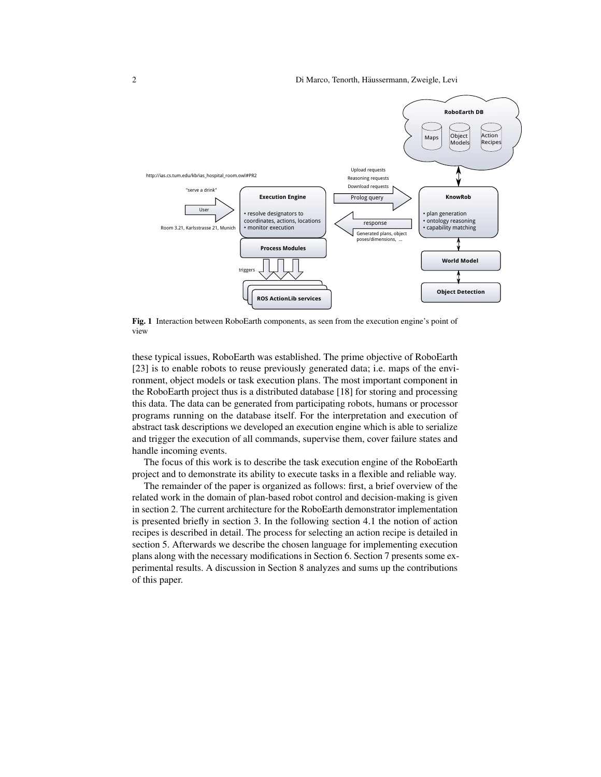

Fig. 1 Interaction between RoboEarth components, as seen from the execution engine's point of view

these typical issues, RoboEarth was established. The prime objective of RoboEarth [23] is to enable robots to reuse previously generated data; i.e. maps of the environment, object models or task execution plans. The most important component in the RoboEarth project thus is a distributed database [18] for storing and processing this data. The data can be generated from participating robots, humans or processor programs running on the database itself. For the interpretation and execution of abstract task descriptions we developed an execution engine which is able to serialize and trigger the execution of all commands, supervise them, cover failure states and handle incoming events.

The focus of this work is to describe the task execution engine of the RoboEarth project and to demonstrate its ability to execute tasks in a flexible and reliable way.

The remainder of the paper is organized as follows: first, a brief overview of the related work in the domain of plan-based robot control and decision-making is given in section 2. The current architecture for the RoboEarth demonstrator implementation is presented briefly in section 3. In the following section 4.1 the notion of action recipes is described in detail. The process for selecting an action recipe is detailed in section 5. Afterwards we describe the chosen language for implementing execution plans along with the necessary modifications in Section 6. Section 7 presents some experimental results. A discussion in Section 8 analyzes and sums up the contributions of this paper.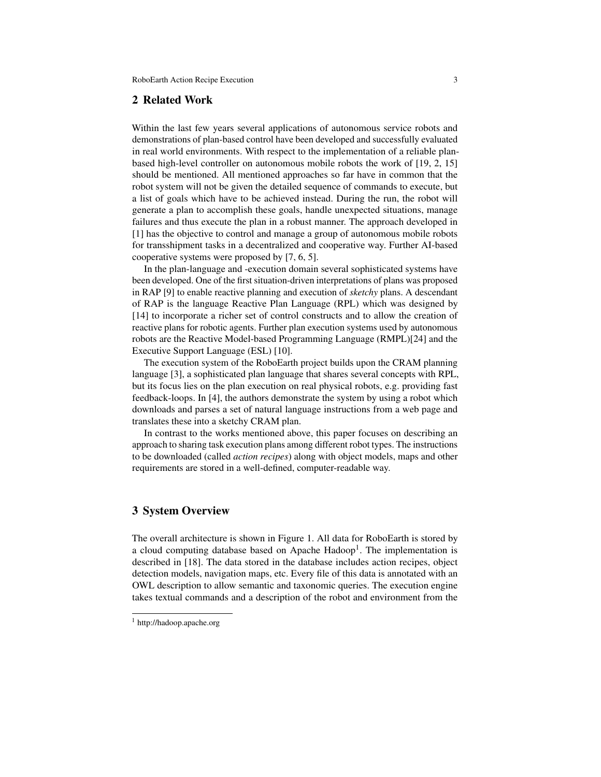# 2 Related Work

Within the last few years several applications of autonomous service robots and demonstrations of plan-based control have been developed and successfully evaluated in real world environments. With respect to the implementation of a reliable planbased high-level controller on autonomous mobile robots the work of [19, 2, 15] should be mentioned. All mentioned approaches so far have in common that the robot system will not be given the detailed sequence of commands to execute, but a list of goals which have to be achieved instead. During the run, the robot will generate a plan to accomplish these goals, handle unexpected situations, manage failures and thus execute the plan in a robust manner. The approach developed in [1] has the objective to control and manage a group of autonomous mobile robots for transshipment tasks in a decentralized and cooperative way. Further AI-based cooperative systems were proposed by [7, 6, 5].

In the plan-language and -execution domain several sophisticated systems have been developed. One of the first situation-driven interpretations of plans was proposed in RAP [9] to enable reactive planning and execution of *sketchy* plans. A descendant of RAP is the language Reactive Plan Language (RPL) which was designed by [14] to incorporate a richer set of control constructs and to allow the creation of reactive plans for robotic agents. Further plan execution systems used by autonomous robots are the Reactive Model-based Programming Language (RMPL)[24] and the Executive Support Language (ESL) [10].

The execution system of the RoboEarth project builds upon the CRAM planning language [3], a sophisticated plan language that shares several concepts with RPL, but its focus lies on the plan execution on real physical robots, e.g. providing fast feedback-loops. In [4], the authors demonstrate the system by using a robot which downloads and parses a set of natural language instructions from a web page and translates these into a sketchy CRAM plan.

In contrast to the works mentioned above, this paper focuses on describing an approach to sharing task execution plans among different robot types. The instructions to be downloaded (called *action recipes*) along with object models, maps and other requirements are stored in a well-defined, computer-readable way.

# 3 System Overview

The overall architecture is shown in Figure 1. All data for RoboEarth is stored by a cloud computing database based on Apache Hadoop<sup>1</sup>. The implementation is described in [18]. The data stored in the database includes action recipes, object detection models, navigation maps, etc. Every file of this data is annotated with an OWL description to allow semantic and taxonomic queries. The execution engine takes textual commands and a description of the robot and environment from the

<sup>1</sup> http://hadoop.apache.org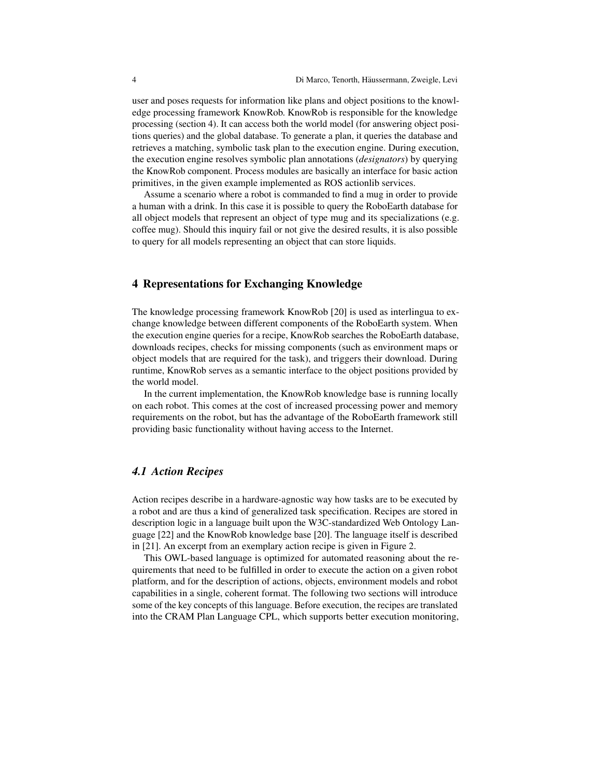user and poses requests for information like plans and object positions to the knowledge processing framework KnowRob. KnowRob is responsible for the knowledge processing (section 4). It can access both the world model (for answering object positions queries) and the global database. To generate a plan, it queries the database and retrieves a matching, symbolic task plan to the execution engine. During execution, the execution engine resolves symbolic plan annotations (*designators*) by querying the KnowRob component. Process modules are basically an interface for basic action primitives, in the given example implemented as ROS actionlib services.

Assume a scenario where a robot is commanded to find a mug in order to provide a human with a drink. In this case it is possible to query the RoboEarth database for all object models that represent an object of type mug and its specializations (e.g. coffee mug). Should this inquiry fail or not give the desired results, it is also possible to query for all models representing an object that can store liquids.

#### 4 Representations for Exchanging Knowledge

The knowledge processing framework KnowRob [20] is used as interlingua to exchange knowledge between different components of the RoboEarth system. When the execution engine queries for a recipe, KnowRob searches the RoboEarth database, downloads recipes, checks for missing components (such as environment maps or object models that are required for the task), and triggers their download. During runtime, KnowRob serves as a semantic interface to the object positions provided by the world model.

In the current implementation, the KnowRob knowledge base is running locally on each robot. This comes at the cost of increased processing power and memory requirements on the robot, but has the advantage of the RoboEarth framework still providing basic functionality without having access to the Internet.

# *4.1 Action Recipes*

Action recipes describe in a hardware-agnostic way how tasks are to be executed by a robot and are thus a kind of generalized task specification. Recipes are stored in description logic in a language built upon the W3C-standardized Web Ontology Language [22] and the KnowRob knowledge base [20]. The language itself is described in [21]. An excerpt from an exemplary action recipe is given in Figure 2.

This OWL-based language is optimized for automated reasoning about the requirements that need to be fulfilled in order to execute the action on a given robot platform, and for the description of actions, objects, environment models and robot capabilities in a single, coherent format. The following two sections will introduce some of the key concepts of this language. Before execution, the recipes are translated into the CRAM Plan Language CPL, which supports better execution monitoring,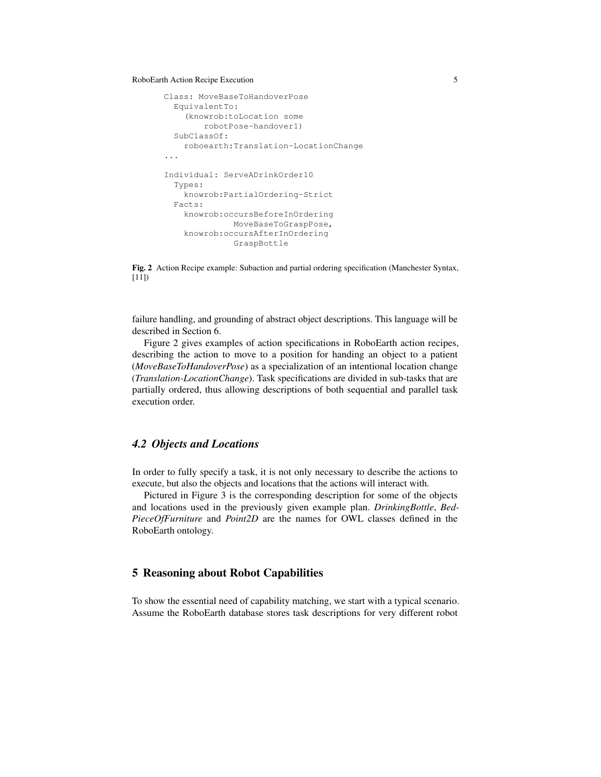RoboEarth Action Recipe Execution 5

```
Class: MoveBaseToHandoverPose
 EquivalentTo:
    (knowrob:toLocation some
       robotPose-handover1)
 SubClassOf:
   roboearth:Translation-LocationChange
...
Individual: ServeADrinkOrder10
 Types:
   knowrob:PartialOrdering-Strict
 Facts:
   knowrob:occursBeforeInOrdering
             MoveBaseToGraspPose,
    knowrob:occursAfterInOrdering
             GraspBottle
```
Fig. 2 Action Recipe example: Subaction and partial ordering specification (Manchester Syntax,  $[11]$ 

failure handling, and grounding of abstract object descriptions. This language will be described in Section 6.

Figure 2 gives examples of action specifications in RoboEarth action recipes, describing the action to move to a position for handing an object to a patient (*MoveBaseToHandoverPose*) as a specialization of an intentional location change (*Translation-LocationChange*). Task specifications are divided in sub-tasks that are partially ordered, thus allowing descriptions of both sequential and parallel task execution order.

# *4.2 Objects and Locations*

In order to fully specify a task, it is not only necessary to describe the actions to execute, but also the objects and locations that the actions will interact with.

Pictured in Figure 3 is the corresponding description for some of the objects and locations used in the previously given example plan. *DrinkingBottle*, *Bed-PieceOfFurniture* and *Point2D* are the names for OWL classes defined in the RoboEarth ontology.

# 5 Reasoning about Robot Capabilities

To show the essential need of capability matching, we start with a typical scenario. Assume the RoboEarth database stores task descriptions for very different robot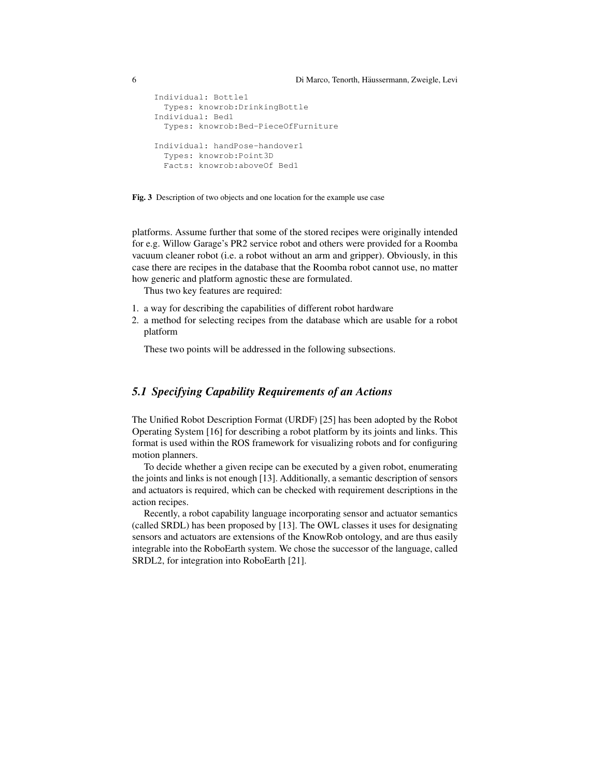```
Individual: Bottle1
 Types: knowrob:DrinkingBottle
Individual: Bed1
 Types: knowrob:Bed-PieceOfFurniture
Individual: handPose-handover1
 Types: knowrob:Point3D
 Facts: knowrob:aboveOf Bed1
```


platforms. Assume further that some of the stored recipes were originally intended for e.g. Willow Garage's PR2 service robot and others were provided for a Roomba vacuum cleaner robot (i.e. a robot without an arm and gripper). Obviously, in this case there are recipes in the database that the Roomba robot cannot use, no matter how generic and platform agnostic these are formulated.

Thus two key features are required:

- 1. a way for describing the capabilities of different robot hardware
- 2. a method for selecting recipes from the database which are usable for a robot platform

These two points will be addressed in the following subsections.

# *5.1 Specifying Capability Requirements of an Actions*

The Unified Robot Description Format (URDF) [25] has been adopted by the Robot Operating System [16] for describing a robot platform by its joints and links. This format is used within the ROS framework for visualizing robots and for configuring motion planners.

To decide whether a given recipe can be executed by a given robot, enumerating the joints and links is not enough [13]. Additionally, a semantic description of sensors and actuators is required, which can be checked with requirement descriptions in the action recipes.

Recently, a robot capability language incorporating sensor and actuator semantics (called SRDL) has been proposed by [13]. The OWL classes it uses for designating sensors and actuators are extensions of the KnowRob ontology, and are thus easily integrable into the RoboEarth system. We chose the successor of the language, called SRDL2, for integration into RoboEarth [21].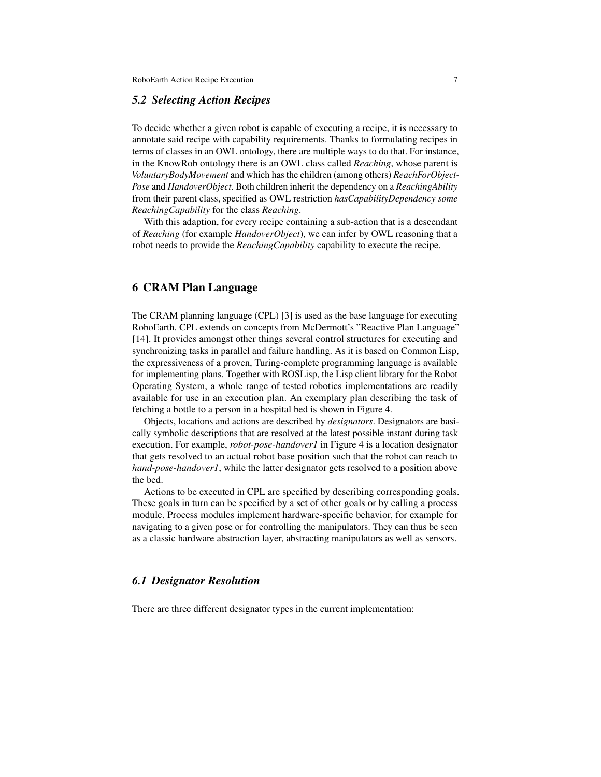#### *5.2 Selecting Action Recipes*

To decide whether a given robot is capable of executing a recipe, it is necessary to annotate said recipe with capability requirements. Thanks to formulating recipes in terms of classes in an OWL ontology, there are multiple ways to do that. For instance, in the KnowRob ontology there is an OWL class called *Reaching*, whose parent is *VoluntaryBodyMovement* and which has the children (among others) *ReachForObject-Pose* and *HandoverObject*. Both children inherit the dependency on a *ReachingAbility* from their parent class, specified as OWL restriction *hasCapabilityDependency some ReachingCapability* for the class *Reaching*.

With this adaption, for every recipe containing a sub-action that is a descendant of *Reaching* (for example *HandoverObject*), we can infer by OWL reasoning that a robot needs to provide the *ReachingCapability* capability to execute the recipe.

# 6 CRAM Plan Language

The CRAM planning language (CPL) [3] is used as the base language for executing RoboEarth. CPL extends on concepts from McDermott's "Reactive Plan Language" [14]. It provides amongst other things several control structures for executing and synchronizing tasks in parallel and failure handling. As it is based on Common Lisp, the expressiveness of a proven, Turing-complete programming language is available for implementing plans. Together with ROSLisp, the Lisp client library for the Robot Operating System, a whole range of tested robotics implementations are readily available for use in an execution plan. An exemplary plan describing the task of fetching a bottle to a person in a hospital bed is shown in Figure 4.

Objects, locations and actions are described by *designators*. Designators are basically symbolic descriptions that are resolved at the latest possible instant during task execution. For example, *robot-pose-handover1* in Figure 4 is a location designator that gets resolved to an actual robot base position such that the robot can reach to *hand-pose-handover1*, while the latter designator gets resolved to a position above the bed.

Actions to be executed in CPL are specified by describing corresponding goals. These goals in turn can be specified by a set of other goals or by calling a process module. Process modules implement hardware-specific behavior, for example for navigating to a given pose or for controlling the manipulators. They can thus be seen as a classic hardware abstraction layer, abstracting manipulators as well as sensors.

## *6.1 Designator Resolution*

There are three different designator types in the current implementation: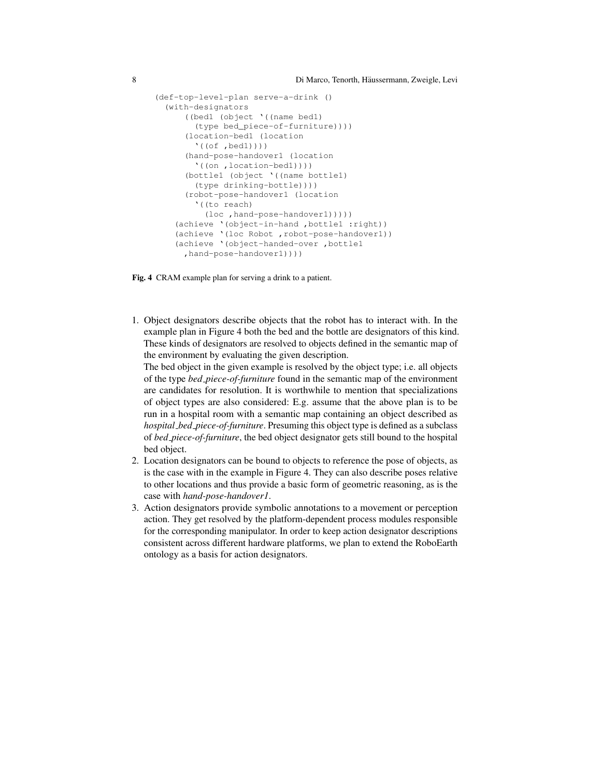```
(def-top-level-plan serve-a-drink ()
  (with-designators
      ((bed1 (object '((name bed1)
        (type bed_piece-of-furniture))))
      (location-bed1 (location
        '((of ,bed1))))
      (hand-pose-handover1 (location
        '((on ,location-bed1))))
      (bottle1 (object '((name bottle1)
        (type drinking-bottle))))
      (robot-pose-handover1 (location
        '((to reach)
          (loc ,hand-pose-handover1)))))
    (achieve '(object-in-hand ,bottle1 :right))
    (achieve '(loc Robot ,robot-pose-handover1))
    (achieve '(object-handed-over ,bottle1
      ,hand-pose-handover1))))
```
Fig. 4 CRAM example plan for serving a drink to a patient.

1. Object designators describe objects that the robot has to interact with. In the example plan in Figure 4 both the bed and the bottle are designators of this kind. These kinds of designators are resolved to objects defined in the semantic map of the environment by evaluating the given description.

The bed object in the given example is resolved by the object type; i.e. all objects of the type *bed piece-of-furniture* found in the semantic map of the environment are candidates for resolution. It is worthwhile to mention that specializations of object types are also considered: E.g. assume that the above plan is to be run in a hospital room with a semantic map containing an object described as *hospital bed piece-of-furniture*. Presuming this object type is defined as a subclass of *bed piece-of-furniture*, the bed object designator gets still bound to the hospital bed object.

- 2. Location designators can be bound to objects to reference the pose of objects, as is the case with in the example in Figure 4. They can also describe poses relative to other locations and thus provide a basic form of geometric reasoning, as is the case with *hand-pose-handover1*.
- 3. Action designators provide symbolic annotations to a movement or perception action. They get resolved by the platform-dependent process modules responsible for the corresponding manipulator. In order to keep action designator descriptions consistent across different hardware platforms, we plan to extend the RoboEarth ontology as a basis for action designators.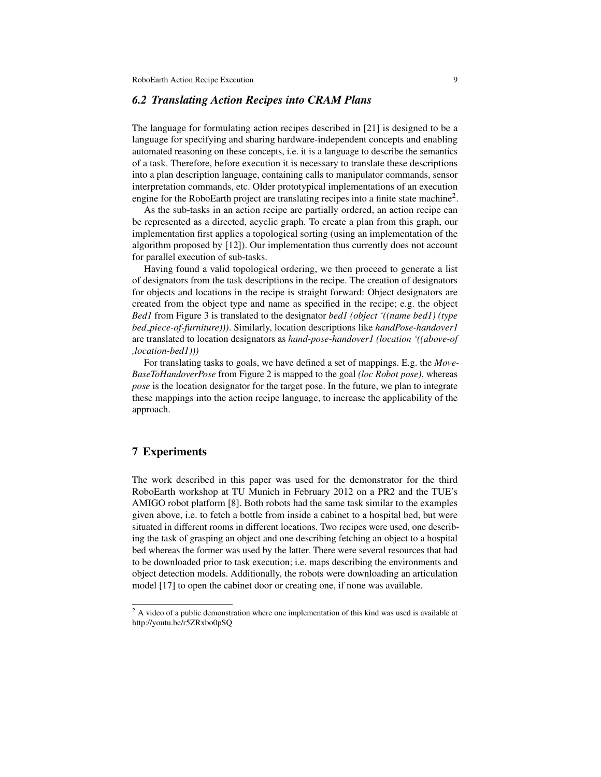# *6.2 Translating Action Recipes into CRAM Plans*

The language for formulating action recipes described in [21] is designed to be a language for specifying and sharing hardware-independent concepts and enabling automated reasoning on these concepts, i.e. it is a language to describe the semantics of a task. Therefore, before execution it is necessary to translate these descriptions into a plan description language, containing calls to manipulator commands, sensor interpretation commands, etc. Older prototypical implementations of an execution engine for the RoboEarth project are translating recipes into a finite state machine<sup>2</sup>.

As the sub-tasks in an action recipe are partially ordered, an action recipe can be represented as a directed, acyclic graph. To create a plan from this graph, our implementation first applies a topological sorting (using an implementation of the algorithm proposed by [12]). Our implementation thus currently does not account for parallel execution of sub-tasks.

Having found a valid topological ordering, we then proceed to generate a list of designators from the task descriptions in the recipe. The creation of designators for objects and locations in the recipe is straight forward: Object designators are created from the object type and name as specified in the recipe; e.g. the object *Bed1* from Figure 3 is translated to the designator *bed1 (object '((name bed1) (type bed piece-of-furniture)))*. Similarly, location descriptions like *handPose-handover1* are translated to location designators as *hand-pose-handover1 (location '((above-of ,location-bed1)))*

For translating tasks to goals, we have defined a set of mappings. E.g. the *Move-BaseToHandoverPose* from Figure 2 is mapped to the goal *(loc Robot pose)*, whereas *pose* is the location designator for the target pose. In the future, we plan to integrate these mappings into the action recipe language, to increase the applicability of the approach.

# 7 Experiments

The work described in this paper was used for the demonstrator for the third RoboEarth workshop at TU Munich in February 2012 on a PR2 and the TUE's AMIGO robot platform [8]. Both robots had the same task similar to the examples given above, i.e. to fetch a bottle from inside a cabinet to a hospital bed, but were situated in different rooms in different locations. Two recipes were used, one describing the task of grasping an object and one describing fetching an object to a hospital bed whereas the former was used by the latter. There were several resources that had to be downloaded prior to task execution; i.e. maps describing the environments and object detection models. Additionally, the robots were downloading an articulation model [17] to open the cabinet door or creating one, if none was available.

<sup>&</sup>lt;sup>2</sup> A video of a public demonstration where one implementation of this kind was used is available at http://youtu.be/r5ZRxbo0pSQ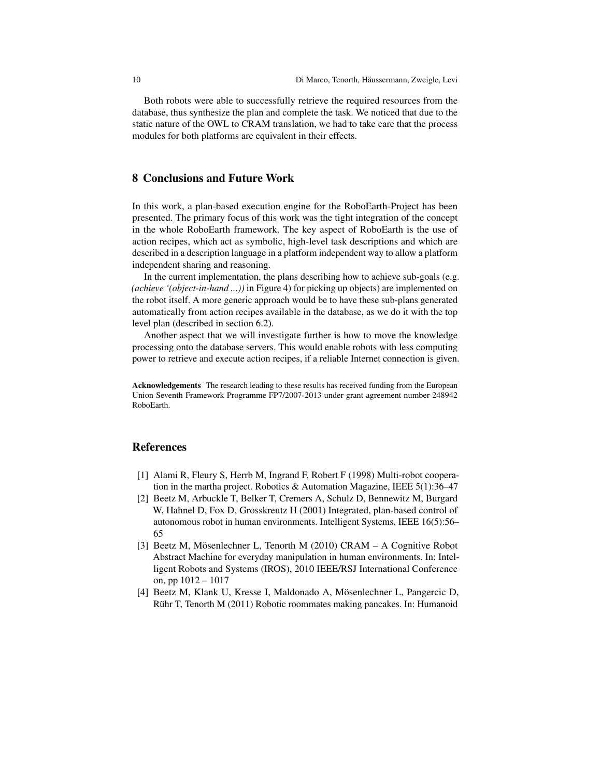Both robots were able to successfully retrieve the required resources from the database, thus synthesize the plan and complete the task. We noticed that due to the static nature of the OWL to CRAM translation, we had to take care that the process modules for both platforms are equivalent in their effects.

# 8 Conclusions and Future Work

In this work, a plan-based execution engine for the RoboEarth-Project has been presented. The primary focus of this work was the tight integration of the concept in the whole RoboEarth framework. The key aspect of RoboEarth is the use of action recipes, which act as symbolic, high-level task descriptions and which are described in a description language in a platform independent way to allow a platform independent sharing and reasoning.

In the current implementation, the plans describing how to achieve sub-goals (e.g. *(achieve '(object-in-hand ...))* in Figure 4) for picking up objects) are implemented on the robot itself. A more generic approach would be to have these sub-plans generated automatically from action recipes available in the database, as we do it with the top level plan (described in section 6.2).

Another aspect that we will investigate further is how to move the knowledge processing onto the database servers. This would enable robots with less computing power to retrieve and execute action recipes, if a reliable Internet connection is given.

Acknowledgements The research leading to these results has received funding from the European Union Seventh Framework Programme FP7/2007-2013 under grant agreement number 248942 RoboEarth.

## References

- [1] Alami R, Fleury S, Herrb M, Ingrand F, Robert F (1998) Multi-robot cooperation in the martha project. Robotics & Automation Magazine, IEEE 5(1):36–47
- [2] Beetz M, Arbuckle T, Belker T, Cremers A, Schulz D, Bennewitz M, Burgard W, Hahnel D, Fox D, Grosskreutz H (2001) Integrated, plan-based control of autonomous robot in human environments. Intelligent Systems, IEEE 16(5):56– 65
- [3] Beetz M, Mösenlechner L, Tenorth M (2010) CRAM A Cognitive Robot Abstract Machine for everyday manipulation in human environments. In: Intelligent Robots and Systems (IROS), 2010 IEEE/RSJ International Conference on, pp 1012 – 1017
- [4] Beetz M, Klank U, Kresse I, Maldonado A, Mösenlechner L, Pangercic D, Rühr T, Tenorth M (2011) Robotic roommates making pancakes. In: Humanoid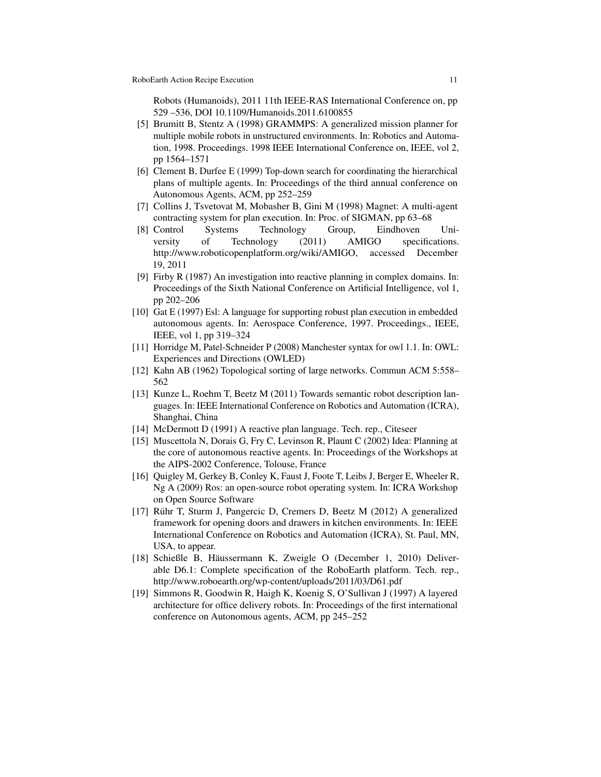Robots (Humanoids), 2011 11th IEEE-RAS International Conference on, pp 529 –536, DOI 10.1109/Humanoids.2011.6100855

- [5] Brumitt B, Stentz A (1998) GRAMMPS: A generalized mission planner for multiple mobile robots in unstructured environments. In: Robotics and Automation, 1998. Proceedings. 1998 IEEE International Conference on, IEEE, vol 2, pp 1564–1571
- [6] Clement B, Durfee E (1999) Top-down search for coordinating the hierarchical plans of multiple agents. In: Proceedings of the third annual conference on Autonomous Agents, ACM, pp 252–259
- [7] Collins J, Tsvetovat M, Mobasher B, Gini M (1998) Magnet: A multi-agent contracting system for plan execution. In: Proc. of SIGMAN, pp 63–68
- [8] Control Systems Technology Group, Eindhoven University of Technology (2011) AMIGO specifications. http://www.roboticopenplatform.org/wiki/AMIGO, accessed December 19, 2011
- [9] Firby R (1987) An investigation into reactive planning in complex domains. In: Proceedings of the Sixth National Conference on Artificial Intelligence, vol 1, pp 202–206
- [10] Gat E (1997) Esl: A language for supporting robust plan execution in embedded autonomous agents. In: Aerospace Conference, 1997. Proceedings., IEEE, IEEE, vol 1, pp 319–324
- [11] Horridge M, Patel-Schneider P (2008) Manchester syntax for owl 1.1. In: OWL: Experiences and Directions (OWLED)
- [12] Kahn AB (1962) Topological sorting of large networks. Commun ACM 5:558– 562
- [13] Kunze L, Roehm T, Beetz M (2011) Towards semantic robot description languages. In: IEEE International Conference on Robotics and Automation (ICRA), Shanghai, China
- [14] McDermott D (1991) A reactive plan language. Tech. rep., Citeseer
- [15] Muscettola N, Dorais G, Fry C, Levinson R, Plaunt C (2002) Idea: Planning at the core of autonomous reactive agents. In: Proceedings of the Workshops at the AIPS-2002 Conference, Tolouse, France
- [16] Quigley M, Gerkey B, Conley K, Faust J, Foote T, Leibs J, Berger E, Wheeler R, Ng A (2009) Ros: an open-source robot operating system. In: ICRA Workshop on Open Source Software
- [17] Rühr T, Sturm J, Pangercic D, Cremers D, Beetz M (2012) A generalized framework for opening doors and drawers in kitchen environments. In: IEEE International Conference on Robotics and Automation (ICRA), St. Paul, MN, USA, to appear.
- [18] Schießle B, Häussermann K, Zweigle O (December 1, 2010) Deliverable D6.1: Complete specification of the RoboEarth platform. Tech. rep., http://www.roboearth.org/wp-content/uploads/2011/03/D61.pdf
- [19] Simmons R, Goodwin R, Haigh K, Koenig S, O'Sullivan J (1997) A layered architecture for office delivery robots. In: Proceedings of the first international conference on Autonomous agents, ACM, pp 245–252